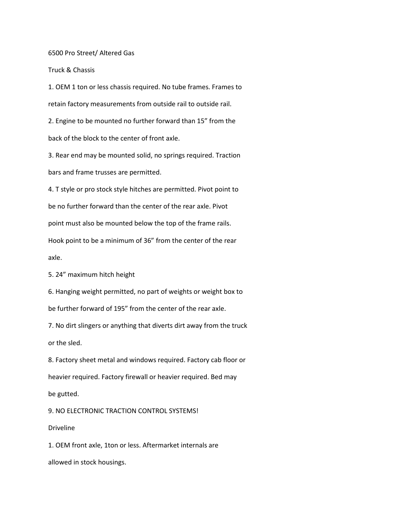6500 Pro Street/ Altered Gas

Truck & Chassis

1. OEM 1 ton or less chassis required. No tube frames. Frames to retain factory measurements from outside rail to outside rail.

2. Engine to be mounted no further forward than 15" from the back of the block to the center of front axle.

3. Rear end may be mounted solid, no springs required. Traction bars and frame trusses are permitted.

4. T style or pro stock style hitches are permitted. Pivot point to be no further forward than the center of the rear axle. Pivot

point must also be mounted below the top of the frame rails.

Hook point to be a minimum of 36" from the center of the rear axle.

5. 24" maximum hitch height

6. Hanging weight permitted, no part of weights or weight box to be further forward of 195" from the center of the rear axle.

7. No dirt slingers or anything that diverts dirt away from the truck or the sled.

8. Factory sheet metal and windows required. Factory cab floor or heavier required. Factory firewall or heavier required. Bed may be gutted.

9. NO ELECTRONIC TRACTION CONTROL SYSTEMS!

## Driveline

1. OEM front axle, 1ton or less. Aftermarket internals are allowed in stock housings.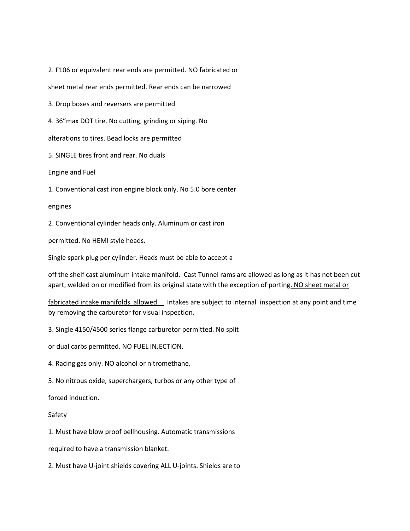2. F106 or equivalent rear ends are permitted. NO fabricated or

sheet metal rear ends permitted. Rear ends can be narrowed

3. Drop boxes and reversers are permitted

4. 36"max DOT tire. No cutting, grinding or siping. No

alterations to tires. Bead locks are permitted

5. SINGLE tires front and rear. No duals

Engine and Fuel

1. Conventional cast iron engine block only. No 5.0 bore center

engines

2. Conventional cylinder heads only. Aluminum or cast iron

permitted. No HEMI style heads.

Single spark plug per cylinder. Heads must be able to accept a

off the shelf cast aluminum intake manifold. Cast Tunnel rams are allowed as long as it has not been cut apart, welded on or modified from its original state with the exception of porting. NO sheet metal or

fabricated intake manifolds allowed. Intakes are subject to internal inspection at any point and time by removing the carburetor for visual inspection.

3. Single 4150/4500 series flange carburetor permitted. No split

or dual carbs permitted. NO FUEL INJECTION.

4. Racing gas only. NO alcohol or nitromethane.

5. No nitrous oxide, superchargers, turbos or any other type of

forced induction.

Safety

1. Must have blow proof bellhousing. Automatic transmissions

required to have a transmission blanket.

2. Must have U-joint shields covering ALL U-joints. Shields are to